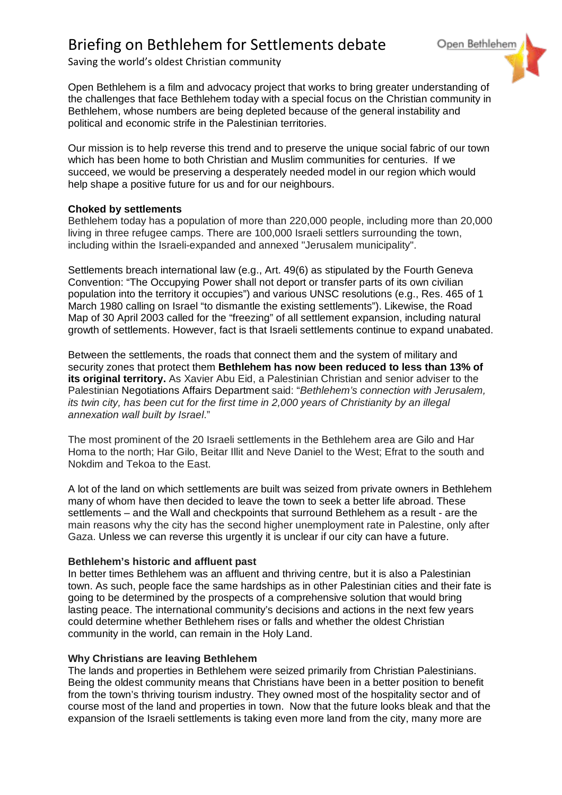Saving the world's oldest Christian community

Open Bethlehem is a film and advocacy project that works to bring greater understanding of the challenges that face Bethlehem today with a special focus on the Christian community in Bethlehem, whose numbers are being depleted because of the general instability and political and economic strife in the Palestinian territories.

Open Bethlehem

Our mission is to help reverse this trend and to preserve the unique social fabric of our town which has been home to both Christian and Muslim communities for centuries. If we succeed, we would be preserving a desperately needed model in our region which would help shape a positive future for us and for our neighbours.

# **Choked by settlements**

Bethlehem today has a population of more than 220,000 people, including more than 20,000 living in three refugee camps. There are 100,000 Israeli settlers surrounding the town, including within the Israeli-expanded and annexed "Jerusalem municipality".

Settlements breach international law (e.g., Art. 49(6) as stipulated by the Fourth Geneva Convention: "The Occupying Power shall not deport or transfer parts of its own civilian population into the territory it occupies") and various UNSC resolutions (e.g., Res. 465 of 1 March 1980 calling on Israel "to dismantle the existing settlements"). Likewise, the Road Map of 30 April 2003 called for the "freezing" of all settlement expansion, including natural growth of settlements. However, fact is that Israeli settlements continue to expand unabated.

Between the settlements, the roads that connect them and the system of military and security zones that protect them **Bethlehem has now been reduced to less than 13% of its original territory.** As Xavier Abu Eid, a Palestinian Christian and senior adviser to the Palestinian Negotiations Affairs Department said: "*Bethlehem's connection with Jerusalem, its twin city, has been cut for the first time in 2,000 years of Christianity by an illegal annexation wall built by Israel*."

The most prominent of the 20 Israeli settlements in the Bethlehem area are Gilo and Har Homa to the north; Har Gilo, Beitar Illit and Neve Daniel to the West; Efrat to the south and Nokdim and Tekoa to the East.

A lot of the land on which settlements are built was seized from private owners in Bethlehem many of whom have then decided to leave the town to seek a better life abroad. These settlements – and the Wall and checkpoints that surround Bethlehem as a result - are the main reasons why the city has the second higher unemployment rate in Palestine, only after Gaza. Unless we can reverse this urgently it is unclear if our city can have a future.

## **Bethlehem's historic and affluent past**

In better times Bethlehem was an affluent and thriving centre, but it is also a Palestinian town. As such, people face the same hardships as in other Palestinian cities and their fate is going to be determined by the prospects of a comprehensive solution that would bring lasting peace. The international community's decisions and actions in the next few years could determine whether Bethlehem rises or falls and whether the oldest Christian community in the world, can remain in the Holy Land.

# **Why Christians are leaving Bethlehem**

The lands and properties in Bethlehem were seized primarily from Christian Palestinians. Being the oldest community means that Christians have been in a better position to benefit from the town's thriving tourism industry. They owned most of the hospitality sector and of course most of the land and properties in town. Now that the future looks bleak and that the expansion of the Israeli settlements is taking even more land from the city, many more are